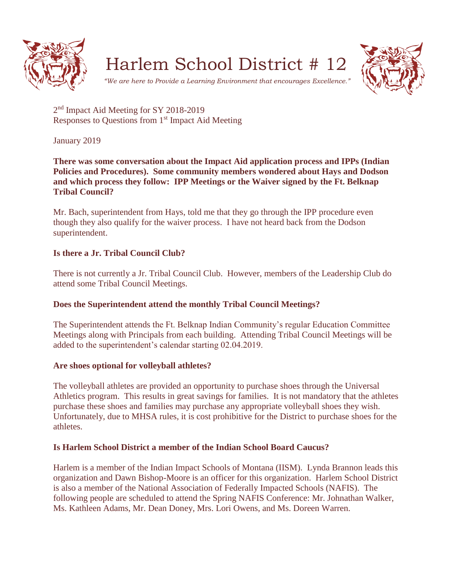

Harlem School District # 12



*"We are here to Provide a Learning Environment that encourages Excellence."*

2<sup>nd</sup> Impact Aid Meeting for SY 2018-2019 Responses to Questions from 1<sup>st</sup> Impact Aid Meeting

January 2019

**There was some conversation about the Impact Aid application process and IPPs (Indian Policies and Procedures). Some community members wondered about Hays and Dodson and which process they follow: IPP Meetings or the Waiver signed by the Ft. Belknap Tribal Council?**

Mr. Bach, superintendent from Hays, told me that they go through the IPP procedure even though they also qualify for the waiver process. I have not heard back from the Dodson superintendent.

## **Is there a Jr. Tribal Council Club?**

There is not currently a Jr. Tribal Council Club. However, members of the Leadership Club do attend some Tribal Council Meetings.

## **Does the Superintendent attend the monthly Tribal Council Meetings?**

The Superintendent attends the Ft. Belknap Indian Community's regular Education Committee Meetings along with Principals from each building. Attending Tribal Council Meetings will be added to the superintendent's calendar starting 02.04.2019.

## **Are shoes optional for volleyball athletes?**

The volleyball athletes are provided an opportunity to purchase shoes through the Universal Athletics program. This results in great savings for families. It is not mandatory that the athletes purchase these shoes and families may purchase any appropriate volleyball shoes they wish. Unfortunately, due to MHSA rules, it is cost prohibitive for the District to purchase shoes for the athletes.

# **Is Harlem School District a member of the Indian School Board Caucus?**

Harlem is a member of the Indian Impact Schools of Montana (IISM). Lynda Brannon leads this organization and Dawn Bishop-Moore is an officer for this organization. Harlem School District is also a member of the National Association of Federally Impacted Schools (NAFIS). The following people are scheduled to attend the Spring NAFIS Conference: Mr. Johnathan Walker, Ms. Kathleen Adams, Mr. Dean Doney, Mrs. Lori Owens, and Ms. Doreen Warren.